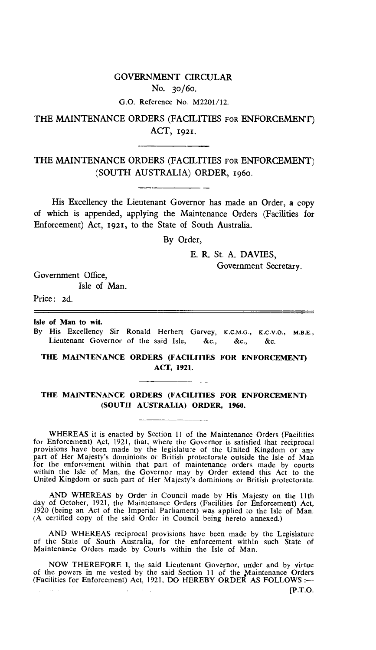# GOVERNMENT CIRCULAR No. 3o/6o.

G.O. Reference No. M2201/12.

### THE MAINTENANCE ORDERS (FACILITIES FOR ENFORCEMENT) ACT, 1921.

### THE MAINTENANCE ORDERS (FACILITIES FOR ENFORCEMENT) (SOUTH AUSTRALIA) ORDER, 196o.

His Excellency the Lieutenant Governor has made an Order, a copy of which is appended, applying the Maintenance Orders (Facilities for Enforcement) Act, 1921, to the State of South Australia.

By Order,

E. R. St. A. DAVIES,

Government Secretary.

Government Office,

Isle of Man.

Price: 2d.

Isle **of Man to wit.** 

By His Excellency Sir Ronald Herbert Garvey, K.C.M.G., x.c.v.o., **M.B.E.,**  Lieutenant Governor of the said Isle, &c., &c., &c.

#### **THE MAINTENANCE ORDERS (FACILITIES FOR ENFORCEMENT) ACT, 1921.**

#### **THE MAINTENANCE ORDERS (FACILITIES FOR ENFORCEMENT) (SOUTH AUSTRALIA) ORDER, 1960.**

WHEREAS it is enacted by Section 11 of the Maintenance Orders (Facilities for Enforcement) Act, 1921, that, where the Governor is satisfied that reciprocal provisions have been made by the legislature of the United Kingdom or any part of Her Majesty's dominions or British protectorate outside the Isle of Man for the enforcement within that part of maintenance orders made by courts within the Isle of Man, the Governor may by Order extend this Act to the United Kingdom or such part of Her Majesty's dominions or British protectorate.

AND WHEREAS by Order in Council made by His Majesty on the 11th day of October, 1921, the Maintenance Orders (Facilities for Enforcement) Act, 1920 (being an Act of the Imperial Parliament) was applied to the Isle of Man. (A certified copy of the said Order in Council being hereto annexed.)

AND WHEREAS reciprocal provisions have been made by the Legislature of the State of South Australia, for the enforcement within such State of Maintenance Orders made by Courts within the Isle of Man.

NOW THEREFORE 1, the said Lieutenant Governor, under and by virtue of the powers in me vested by the said Section 11 of the Maintenance Orders (Facilities for Enforcement) Act, 1921, DO HEREBY ORDER AS FOLLOWS :-

(P.T.O.